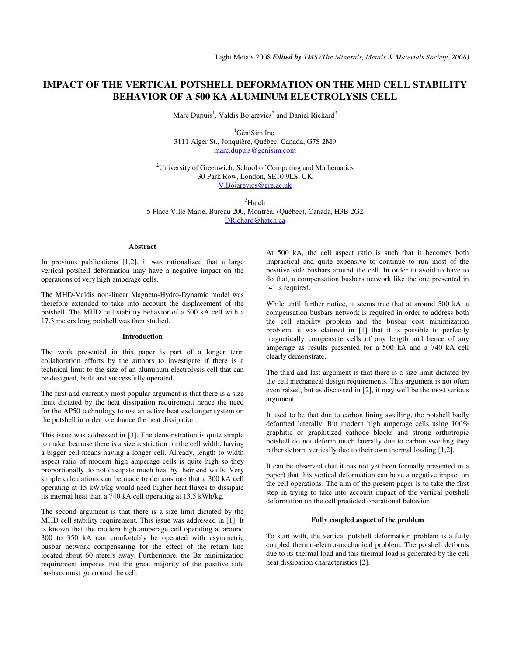# **IMPACT OF THE VERTICAL POTSHELL DEFORMATION ON THE MHD CELL STABILITY BEHAVIOR OF A 500 KA ALUMINUM ELECTROLYSIS CELL**

Marc Dupuis<sup>1</sup>, Valdis Bojarevics<sup>2</sup> and Daniel Richard<sup>3</sup>

<sup>1</sup>GéniSim Inc. 3111 Alger St., Jonquière, Québec, Canada, G7S 2M9 marc.dupuis@genisim.com

<sup>2</sup>University of Greenwich, School of Computing and Mathematics 30 Park Row, London, SE10 9LS, UK V.Bojarevics@gre.ac.uk

<sup>3</sup>Hatch 5 Place Ville Marie, Bureau 200, Montréal (Québec), Canada, H3B 2G2 DRichard@hatch.ca

#### **Abstract**

In previous publications [1,2], it was rationalized that a large vertical potshell deformation may have a negative impact on the operations of very high amperage cells.

The MHD-Valdis non-linear Magneto-Hydro-Dynamic model was therefore extended to take into account the displacement of the potshell. The MHD cell stability behavior of a 500 kA cell with a 17.3 meters long potshell was then studied.

## **Introduction**

The work presented in this paper is part of a longer term collaboration efforts by the authors to investigate if there is a technical limit to the size of an aluminum electrolysis cell that can be designed, built and successfully operated.

The first and currently most popular argument is that there is a size limit dictated by the heat dissipation requirement hence the need for the AP50 technology to use an active heat exchanger system on the potshell in order to enhance the heat dissipation.

This issue was addressed in [3]. The demonstration is quite simple to make: because there is a size restriction on the cell width, having a bigger cell means having a longer cell. Already, length to width aspect ratio of modern high amperage cells is quite high so they proportionally do not dissipate much heat by their end walls. Very simple calculations can be made to demonstrate that a 300 kA cell operating at 15 kWh/kg would need higher heat fluxes to dissipate its internal heat than a 740 kA cell operating at 13.5 kWh/kg.

The second argument is that there is a size limit dictated by the MHD cell stability requirement. This issue was addressed in [1]. It is known that the modern high amperage cell operating at around 300 to 350 kA can comfortably be operated with asymmetric busbar network compensating for the effect of the return line located about 60 meters away. Furthermore, the Bz minimization requirement imposes that the great majority of the positive side busbars must go around the cell.

At 500 kA, the cell aspect ratio is such that it becomes both impractical and quite expensive to continue to run most of the positive side busbars around the cell. In order to avoid to have to do that, a compensation busbars network like the one presented in [4] is required.

While until further notice, it seems true that at around 500 kA, a compensation busbars network is required in order to address both the cell stability problem and the busbar cost minimization problem, it was claimed in [1] that it is possible to perfectly magnetically compensate cells of any length and hence of any amperage as results presented for a 500 kA and a 740 kA cell clearly demonstrate.

The third and last argument is that there is a size limit dictated by the cell mechanical design requirements. This argument is not often even raised, but as discussed in [2], it may well be the most serious argument.

It used to be that due to carbon lining swelling, the potshell badly deformed laterally. But modern high amperage cells using 100% graphitic or graphitized cathode blocks and strong orthotropic potshell do not deform much laterally due to carbon swelling they rather deform vertically due to their own thermal loading [1,2].

It can be observed (but it has not yet been formally presented in a paper) that this vertical deformation can have a negative impact on the cell operations. The aim of the present paper is to take the first step in trying to take into account impact of the vertical potshell deformation on the cell predicted operational behavior.

## **Fully coupled aspect of the problem**

To start with, the vertical potshell deformation problem is a fully coupled thermo-electro-mechanical problem. The potshell deforms due to its thermal load and this thermal load is generated by the cell heat dissipation characteristics [2].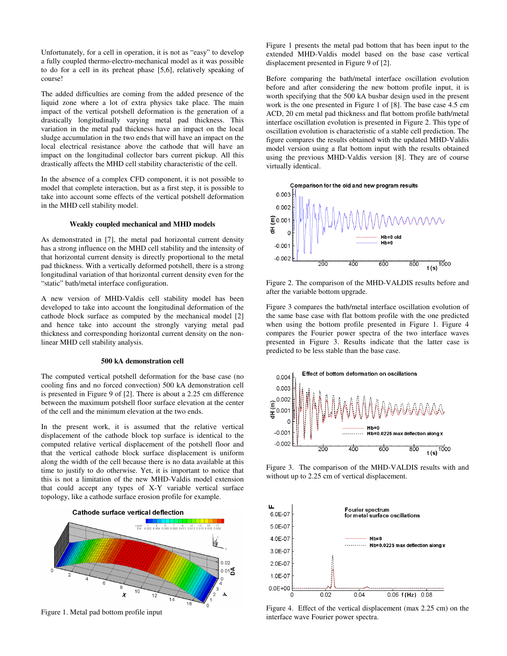Unfortunately, for a cell in operation, it is not as "easy" to develop a fully coupled thermo-electro-mechanical model as it was possible to do for a cell in its preheat phase [5,6], relatively speaking of course!

The added difficulties are coming from the added presence of the liquid zone where a lot of extra physics take place. The main impact of the vertical potshell deformation is the generation of a drastically longitudinally varying metal pad thickness. This variation in the metal pad thickness have an impact on the local sludge accumulation in the two ends that will have an impact on the local electrical resistance above the cathode that will have an impact on the longitudinal collector bars current pickup. All this drastically affects the MHD cell stability characteristic of the cell.

In the absence of a complex CFD component, it is not possible to model that complete interaction, but as a first step, it is possible to take into account some effects of the vertical potshell deformation in the MHD cell stability model.

#### **Weakly coupled mechanical and MHD models**

As demonstrated in [7], the metal pad horizontal current density has a strong influence on the MHD cell stability and the intensity of that horizontal current density is directly proportional to the metal pad thickness. With a vertically deformed potshell, there is a strong longitudinal variation of that horizontal current density even for the "static" bath/metal interface configuration.

A new version of MHD-Valdis cell stability model has been developed to take into account the longitudinal deformation of the cathode block surface as computed by the mechanical model [2] and hence take into account the strongly varying metal pad thickness and corresponding horizontal current density on the nonlinear MHD cell stability analysis.

## **500 kA demonstration cell**

The computed vertical potshell deformation for the base case (no cooling fins and no forced convection) 500 kA demonstration cell is presented in Figure 9 of [2]. There is about a 2.25 cm difference between the maximum potshell floor surface elevation at the center of the cell and the minimum elevation at the two ends.

In the present work, it is assumed that the relative vertical displacement of the cathode block top surface is identical to the computed relative vertical displacement of the potshell floor and that the vertical cathode block surface displacement is uniform along the width of the cell because there is no data available at this time to justify to do otherwise. Yet, it is important to notice that this is not a limitation of the new MHD-Valdis model extension that could accept any types of X-Y variable vertical surface topology, like a cathode surface erosion profile for example.



Figure 1. Metal pad bottom profile input

Figure 1 presents the metal pad bottom that has been input to the extended MHD-Valdis model based on the base case vertical displacement presented in Figure 9 of [2].

Before comparing the bath/metal interface oscillation evolution before and after considering the new bottom profile input, it is worth specifying that the 500 kA busbar design used in the present work is the one presented in Figure 1 of [8]. The base case 4.5 cm ACD, 20 cm metal pad thickness and flat bottom profile bath/metal interface oscillation evolution is presented in Figure 2. This type of oscillation evolution is characteristic of a stable cell prediction. The figure compares the results obtained with the updated MHD-Valdis model version using a flat bottom input with the results obtained using the previous MHD-Valdis version [8]. They are of course virtually identical.



Figure 2. The comparison of the MHD-VALDIS results before and after the variable bottom upgrade.

Figure 3 compares the bath/metal interface oscillation evolution of the same base case with flat bottom profile with the one predicted when using the bottom profile presented in Figure 1. Figure 4 compares the Fourier power spectra of the two interface waves presented in Figure 3. Results indicate that the latter case is predicted to be less stable than the base case.



Figure 3. The comparison of the MHD-VALDIS results with and without up to 2.25 cm of vertical displacement.



Figure 4. Effect of the vertical displacement (max 2.25 cm) on the interface wave Fourier power spectra.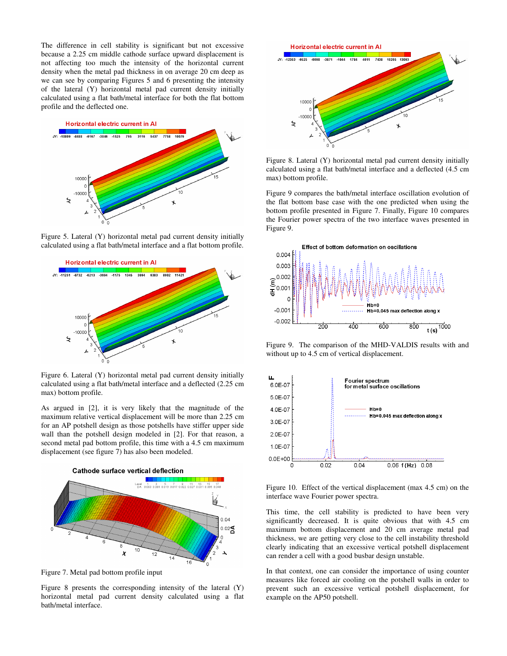The difference in cell stability is significant but not excessive because a 2.25 cm middle cathode surface upward displacement is not affecting too much the intensity of the horizontal current density when the metal pad thickness in on average 20 cm deep as we can see by comparing Figures 5 and 6 presenting the intensity of the lateral (Y) horizontal metal pad current density initially calculated using a flat bath/metal interface for both the flat bottom profile and the deflected one.



Figure 5. Lateral (Y) horizontal metal pad current density initially calculated using a flat bath/metal interface and a flat bottom profile.



Figure 6. Lateral (Y) horizontal metal pad current density initially calculated using a flat bath/metal interface and a deflected (2.25 cm max) bottom profile.

As argued in [2], it is very likely that the magnitude of the maximum relative vertical displacement will be more than 2.25 cm for an AP potshell design as those potshells have stiffer upper side wall than the potshell design modeled in [2]. For that reason, a second metal pad bottom profile, this time with a 4.5 cm maximum displacement (see figure 7) has also been modeled.



Figure 7. Metal pad bottom profile input

Figure 8 presents the corresponding intensity of the lateral (Y) horizontal metal pad current density calculated using a flat bath/metal interface.



Figure 8. Lateral (Y) horizontal metal pad current density initially calculated using a flat bath/metal interface and a deflected (4.5 cm max) bottom profile.

Figure 9 compares the bath/metal interface oscillation evolution of the flat bottom base case with the one predicted when using the bottom profile presented in Figure 7. Finally, Figure 10 compares the Fourier power spectra of the two interface waves presented in Figure 9.



Figure 9. The comparison of the MHD-VALDIS results with and without up to 4.5 cm of vertical displacement.



Figure 10. Effect of the vertical displacement (max 4.5 cm) on the interface wave Fourier power spectra.

This time, the cell stability is predicted to have been very significantly decreased. It is quite obvious that with 4.5 cm maximum bottom displacement and 20 cm average metal pad thickness, we are getting very close to the cell instability threshold clearly indicating that an excessive vertical potshell displacement can render a cell with a good busbar design unstable.

In that context, one can consider the importance of using counter measures like forced air cooling on the potshell walls in order to prevent such an excessive vertical potshell displacement, for example on the AP50 potshell.